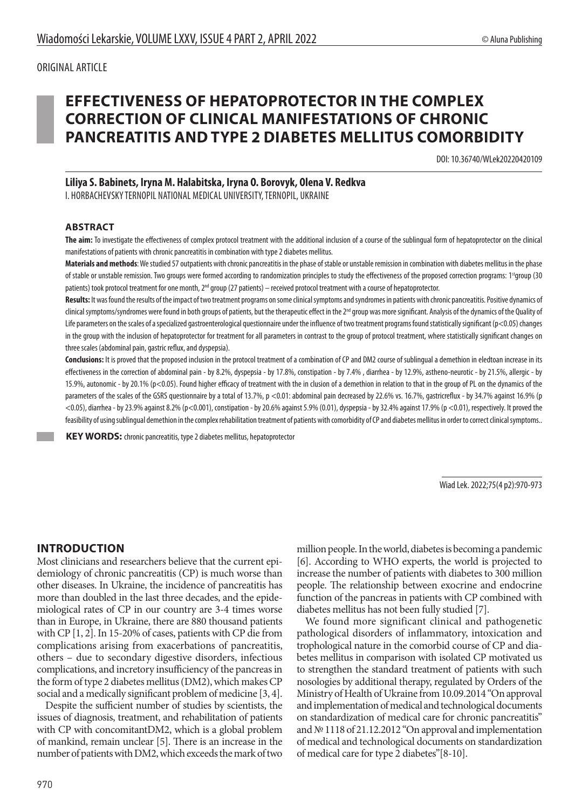# **EFFECTIVENESS OF HEPATOPROTECTOR IN THE COMPLEX CORRECTION OF CLINICAL MANIFESTATIONS OF CHRONIC PANCREATITIS AND TYPE 2 DIABETES MELLITUS COMORBIDITY**

DOI: 10.36740/WLek20220420109

#### **Liliya S. Babinets, Iryna M. Halabitska, Iryna O. Borovyk, Olena V. Redkva**

I. HORBACHEVSKYTERNOPIL NATIONAL MEDICAL UNIVERSITY, TERNOPIL, UKRAINE

#### **ABSTRACT**

**The aim:** To investigate the effectiveness of complex protocol treatment with the additional inclusion of a course of the sublingual form of hepatoprotector on the clinical manifestations of patients with chronic pancreatitis in combination with type 2 diabetes mellitus.

**Materials and methods**: We studied 57 outpatients with chronic pancreatitis in the phase of stable or unstable remission in combination with diabetes mellitus in the phase of stable or unstable remission. Two groups were formed according to randomization principles to study the effectiveness of the proposed correction programs: 1<sup>st</sup>group (30 patients) took protocol treatment for one month, 2<sup>nd</sup> group (27 patients) – received protocol treatment with a course of hepatoprotector.

Results: It was found the results of the impact of two treatment programs on some clinical symptoms and syndromes in patients with chronic pancreatitis. Positive dynamics of clinical symptoms/syndromes were found in both groups of patients, but the therapeutic effect in the 2<sup>nd</sup> group was more significant. Analysis of the dynamics of the Quality of Life parameters on the scales of a specialized gastroenterological questionnaire under the influence of two treatment programs found statistically significant ( $p<0.05$ ) changes in the group with the inclusion of hepatoprotector for treatment for all parameters in contrast to the group of protocol treatment, where statistically significant changes on three scales (abdominal pain, gastric reflux, and dyspepsia).

**Conclusions:** It is proved that the proposed inclusion in the protocol treatment of a combination of CP and DM2 course of sublingual a demethion in eledtoan increase in its effectiveness in the correction of abdominal pain - by 8.2%, dyspepsia - by 17.8%, constipation - by 7.4% , diarrhea - by 12.9%, astheno-neurotic - by 21.5%, allergic - by 15.9%, autonomic - by 20.1% (p<0.05). Found higher efficacy of treatment with the in clusion of a demethion in relation to that in the group of PL on the dynamics of the parameters of the scales of the GSRS questionnaire by a total of 13.7%, p <0.01: abdominal pain decreased by 22.6% vs. 16.7%, gastricreflux - by 34.7% against 16.9% (p <0.05), diarrhea - by 23.9% against 8.2% (p<0.001), constipation - by 20.6% against 5.9% (0.01), dyspepsia - by 32.4% against 17.9% (p <0.01), respectively. It proved the feasibility of using sublingual demethion in the complex rehabilitation treatment of patients with comorbidity of CP and diabetes mellitus in order to correct clinical symptoms..

 **KEY WORDS:** chronic pancreatitis, type 2 diabetes mellitus, hepatoprotector

Wiad Lek. 2022;75(4 p2):970-973

### **INTRODUCTION**

Most clinicians and researchers believe that the current epidemiology of chronic pancreatitis (CP) is much worse than other diseases. In Ukraine, the incidence of pancreatitis has more than doubled in the last three decades, and the epidemiological rates of CP in our country are 3-4 times worse than in Europe, in Ukraine, there are 880 thousand patients with CP [1, 2]. In 15-20% of cases, patients with CP die from complications arising from exacerbations of pancreatitis, others – due to secondary digestive disorders, infectious complications, and incretory insufficiency of the pancreas in the form of type 2 diabetes mellitus (DM2), which makes CP social and a medically significant problem of medicine [3, 4].

Despite the sufficient number of studies by scientists, the issues of diagnosis, treatment, and rehabilitation of patients with CP with concomitantDM2, which is a global problem of mankind, remain unclear [5]. There is an increase in the number of patients with DM2, which exceeds the mark of two

970

million people. In the world, diabetes is becoming a pandemic [6]. According to WHO experts, the world is projected to increase the number of patients with diabetes to 300 million people. The relationship between exocrine and endocrine function of the pancreas in patients with CP combined with diabetes mellitus has not been fully studied [7].

We found more significant clinical and pathogenetic pathological disorders of inflammatory, intoxication and trophological nature in the comorbid course of CP and diabetes mellitus in comparison with isolated CP motivated us to strengthen the standard treatment of patients with such nosologies by additional therapy, regulated by Orders of the Ministry of Health of Ukraine from 10.09.2014 "On approval and implementation of medical and technological documents on standardization of medical care for chronic pancreatitis" and № 1118 of 21.12.2012 "On approval and implementation of medical and technological documents on standardization of medical care for type 2 diabetes"[8-10].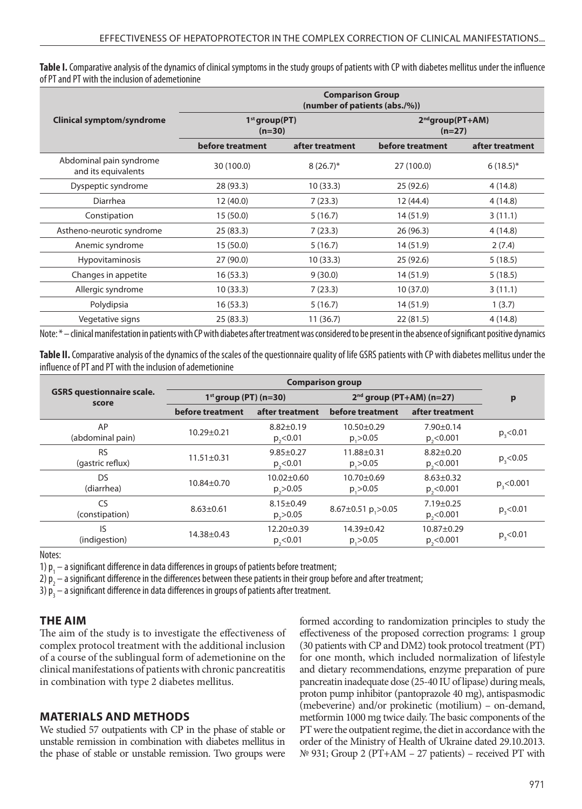**Table I.** Comparative analysis of the dynamics of clinical symptoms in the study groups of patients with CP with diabetes mellitus under the influence of PT and PT with the inclusion of ademetionine

|                                                | <b>Comparison Group</b><br>(number of patients (abs./%)) |                 |                                   |                 |  |  |
|------------------------------------------------|----------------------------------------------------------|-----------------|-----------------------------------|-----------------|--|--|
| Clinical symptom/syndrome                      | $1st$ group(PT)<br>$(n=30)$                              |                 | $2^{nd}$ group(PT+AM)<br>$(n=27)$ |                 |  |  |
|                                                | before treatment                                         | after treatment | before treatment                  | after treatment |  |  |
| Abdominal pain syndrome<br>and its equivalents | 30 (100.0)                                               | $8(26.7)^*$     | 27 (100.0)                        | $6(18.5)^*$     |  |  |
| Dyspeptic syndrome                             | 28 (93.3)                                                | 10(33.3)        | 25 (92.6)                         | 4(14.8)         |  |  |
| Diarrhea                                       | 12 (40.0)                                                | 7(23.3)         | 12 (44.4)                         | 4(14.8)         |  |  |
| Constipation                                   | 15(50.0)                                                 | 5(16.7)         | 14 (51.9)                         | 3(11.1)         |  |  |
| Astheno-neurotic syndrome                      | 25(83.3)                                                 | 7(23.3)         | 26 (96.3)                         | 4(14.8)         |  |  |
| Anemic syndrome                                | 15(50.0)                                                 | 5(16.7)         | 14 (51.9)                         | 2(7.4)          |  |  |
| <b>Hypovitaminosis</b>                         | 27(90.0)                                                 | 10(33.3)        | 25 (92.6)                         | 5(18.5)         |  |  |
| Changes in appetite                            | 16(53.3)                                                 | 9(30.0)         | 14 (51.9)                         | 5(18.5)         |  |  |
| Allergic syndrome                              | 10(33.3)                                                 | 7(23.3)         | 10(37.0)                          | 3(11.1)         |  |  |
| Polydipsia                                     | 16(53.3)                                                 | 5(16.7)         | 14 (51.9)                         | 1(3.7)          |  |  |
| Vegetative signs                               | 25(83.3)                                                 | 11(36.7)        | 22(81.5)                          | 4(14.8)         |  |  |

Note: \* – clinical manifestation in patients with CP with diabetes after treatment was considered to be present in the absence of significant positive dynamics

**Table II.** Comparative analysis of the dynamics of the scales of the questionnaire quality of life GSRS patients with CP with diabetes mellitus under the influence of PT and PT with the inclusion of ademetionine

| <b>GSRS</b> questionnaire scale.<br>score | <b>Comparison group</b> |                                    |                                       |                                    |                |
|-------------------------------------------|-------------------------|------------------------------------|---------------------------------------|------------------------------------|----------------|
|                                           | $1st$ group (PT) (n=30) |                                    | $2nd$ group (PT+AM) (n=27)            |                                    | p              |
|                                           | before treatment        | after treatment                    | before treatment                      | after treatment                    |                |
| AP<br>(abdominal pain)                    | $10.29 \pm 0.21$        | $8.82 \pm 0.19$<br>$p_{2}$ < 0.01  | $10.50 \pm 0.29$<br>$p_{2} > 0.05$    | $7.90 \pm 0.14$<br>$p_{2}$ < 0.001 | $p_{3}$ < 0.01 |
| <b>RS</b><br>(gastric reflux)             | $11.51 \pm 0.31$        | $9.85 \pm 0.27$<br>$p_{2}$ <0.01   | 11.88±0.31<br>$p_{2} > 0.05$          | $8.82 \pm 0.20$<br>$p_{2}$ < 0.001 | p, < 0.05      |
| DS.<br>(diarrhea)                         | $10.84 \pm 0.70$        | $10.02 \pm 0.60$<br>$p_{2} > 0.05$ | $10.70 \pm 0.69$<br>$p_{2} > 0.05$    | $8.63 \pm 0.32$<br>$p_{0}$ < 0.001 | p, < 0.001     |
| CS<br>(constipation)                      | $8.63 \pm 0.61$         | $8.15 \pm 0.49$<br>$p_{2} > 0.05$  | 8.67 $\pm$ 0.51 p <sub>1</sub> > 0.05 | $7.19 \pm 0.25$<br>$p_{2}$ <0.001  | p, < 0.01      |
| IS<br>(indigestion)                       | $14.38 \pm 0.43$        | 12.20±0.39<br>$p_{0}$ < 0.01       | 14.39±0.42<br>$p_{2} > 0.05$          | $10.87 \pm 0.29$<br>$p_{2}$ <0.001 | $p_{3}$ < 0.01 |

Notes:

1)  $p_1$  – a significant difference in data differences in groups of patients before treatment;

2)  $p_2$  – a significant difference in the differences between these patients in their group before and after treatment;

3)  $p_3^-$  – a significant difference in data differences in groups of patients after treatment.

#### **THE AIM**

The aim of the study is to investigate the effectiveness of complex protocol treatment with the additional inclusion of a course of the sublingual form of ademetionine on the clinical manifestations of patients with chronic pancreatitis in combination with type 2 diabetes mellitus.

#### **MATERIALS AND METHODS**

We studied 57 outpatients with CP in the phase of stable or unstable remission in combination with diabetes mellitus in the phase of stable or unstable remission. Two groups were formed according to randomization principles to study the effectiveness of the proposed correction programs: 1 group (30 patients with CP and DM2) took protocol treatment (PT) for one month, which included normalization of lifestyle and dietary recommendations, enzyme preparation of pure pancreatin inadequate dose (25-40 IU of lipase) during meals, proton pump inhibitor (pantoprazole 40 mg), antispasmodic (mebeverine) and/or prokinetic (motilium) – on-demand, metformin 1000 mg twice daily. The basic components of the PT were the outpatient regime, the diet in accordance with the order of the Ministry of Health of Ukraine dated 29.10.2013. № 931; Group 2 (PT+AM – 27 patients) – received PT with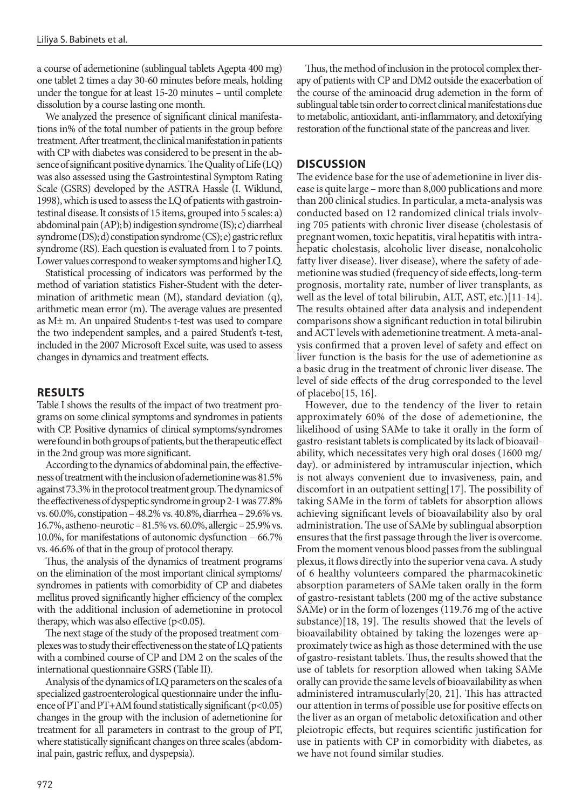a course of ademetionine (sublingual tablets Agepta 400 mg) one tablet 2 times a day 30-60 minutes before meals, holding under the tongue for at least 15-20 minutes – until complete dissolution by a course lasting one month.

We analyzed the presence of significant clinical manifestations in% of the total number of patients in the group before treatment. After treatment, the clinical manifestation in patients with CP with diabetes was considered to be present in the absence of significant positive dynamics. The Quality of Life (LQ) was also assessed using the Gastrointestinal Symptom Rating Scale (GSRS) developed by the ASTRA Hassle (I. Wiklund, 1998), which is used to assess the LQ of patients with gastrointestinal disease. It consists of 15 items, grouped into 5 scales: a) abdominal pain (AP); b) indigestion syndrome (IS); c) diarrheal syndrome (DS); d) constipation syndrome (CS); e) gastric reflux syndrome (RS). Each question is evaluated from 1 to 7 points. Lower values correspond to weaker symptoms and higher LQ.

Statistical processing of indicators was performed by the method of variation statistics Fisher-Student with the determination of arithmetic mean (M), standard deviation (q), arithmetic mean error (m). The average values are presented as M± m. An unpaired Student›s t-test was used to compare the two independent samples, and a paired Student's t-test, included in the 2007 Microsoft Excel suite, was used to assess changes in dynamics and treatment effects.

#### **RESULTS**

Table I shows the results of the impact of two treatment programs on some clinical symptoms and syndromes in patients with CP. Positive dynamics of clinical symptoms/syndromes were found in both groups of patients, but the therapeutic effect in the 2nd group was more significant.

According to the dynamics of abdominal pain, the effectiveness of treatment with the inclusion of ademetionine was 81.5% against 73.3% in the protocol treatment group. The dynamics of the effectiveness of dyspeptic syndrome in group 2-1 was 77.8% vs. 60.0%, constipation – 48.2% vs. 40.8%, diarrhea – 29.6% vs. 16.7%, astheno-neurotic – 81.5% vs. 60.0%, allergic – 25.9% vs. 10.0%, for manifestations of autonomic dysfunction – 66.7% vs. 46.6% of that in the group of protocol therapy.

Thus, the analysis of the dynamics of treatment programs on the elimination of the most important clinical symptoms/ syndromes in patients with comorbidity of CP and diabetes mellitus proved significantly higher efficiency of the complex with the additional inclusion of ademetionine in protocol therapy, which was also effective  $(p<0.05)$ .

The next stage of the study of the proposed treatment complexes was to study their effectiveness on the state of LQ patients with a combined course of CP and DM 2 on the scales of the international questionnaire GSRS (Table II).

Analysis of the dynamics of LQ parameters on the scales of a specialized gastroenterological questionnaire under the influence of PT and PT+AM found statistically significant  $(p<0.05)$ changes in the group with the inclusion of ademetionine for treatment for all parameters in contrast to the group of PT, where statistically significant changes on three scales (abdominal pain, gastric reflux, and dyspepsia).

Thus, the method of inclusion in the protocol complex therapy of patients with CP and DM2 outside the exacerbation of the course of the aminoacid drug ademetion in the form of sublingual table tsin order to correct clinical manifestations due to metabolic, antioxidant, anti-inflammatory, and detoxifying restoration of the functional state of the pancreas and liver.

#### **DISCUSSION**

The evidence base for the use of ademetionine in liver disease is quite large – more than 8,000 publications and more than 200 clinical studies. In particular, a meta-analysis was conducted based on 12 randomized clinical trials involving 705 patients with chronic liver disease (cholestasis of pregnant women, toxic hepatitis, viral hepatitis with intrahepatic cholestasis, alcoholic liver disease, nonalcoholic fatty liver disease). liver disease), where the safety of ademetionine was studied (frequency of side effects, long-term prognosis, mortality rate, number of liver transplants, as well as the level of total bilirubin, ALT, AST, etc.)[11-14]. The results obtained after data analysis and independent comparisons show a significant reduction in total bilirubin and ACT levels with ademetionine treatment. A meta-analysis confirmed that a proven level of safety and effect on liver function is the basis for the use of ademetionine as a basic drug in the treatment of chronic liver disease. The level of side effects of the drug corresponded to the level of placebo[15, 16].

However, due to the tendency of the liver to retain approximately 60% of the dose of ademetionine, the likelihood of using SAMe to take it orally in the form of gastro-resistant tablets is complicated by its lack of bioavailability, which necessitates very high oral doses (1600 mg/ day). or administered by intramuscular injection, which is not always convenient due to invasiveness, pain, and discomfort in an outpatient setting[17]. The possibility of taking SAMe in the form of tablets for absorption allows achieving significant levels of bioavailability also by oral administration. The use of SAMe by sublingual absorption ensures that the first passage through the liver is overcome. From the moment venous blood passes from the sublingual plexus, it flows directly into the superior vena cava. A study of 6 healthy volunteers compared the pharmacokinetic absorption parameters of SAMe taken orally in the form of gastro-resistant tablets (200 mg of the active substance SAMe) or in the form of lozenges (119.76 mg of the active substance)[18, 19]. The results showed that the levels of bioavailability obtained by taking the lozenges were approximately twice as high as those determined with the use of gastro-resistant tablets. Thus, the results showed that the use of tablets for resorption allowed when taking SAMe orally can provide the same levels of bioavailability as when administered intramuscularly[20, 21]. This has attracted our attention in terms of possible use for positive effects on the liver as an organ of metabolic detoxification and other pleiotropic effects, but requires scientific justification for use in patients with CP in comorbidity with diabetes, as we have not found similar studies.